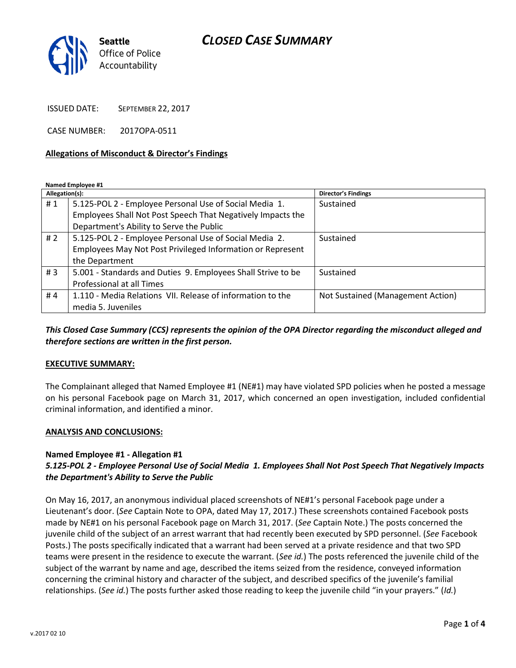## *CLOSED CASE SUMMARY*



ISSUED DATE: SEPTEMBER 22, 2017

CASE NUMBER: 2017OPA-0511

#### **Allegations of Misconduct & Director's Findings**

**Named Employee #1**

| Allegation(s): |                                                              | <b>Director's Findings</b>        |
|----------------|--------------------------------------------------------------|-----------------------------------|
| #1             | 5.125-POL 2 - Employee Personal Use of Social Media 1.       | Sustained                         |
|                | Employees Shall Not Post Speech That Negatively Impacts the  |                                   |
|                | Department's Ability to Serve the Public                     |                                   |
| #2             | 5.125-POL 2 - Employee Personal Use of Social Media 2.       | Sustained                         |
|                | Employees May Not Post Privileged Information or Represent   |                                   |
|                | the Department                                               |                                   |
| #3             | 5.001 - Standards and Duties 9. Employees Shall Strive to be | Sustained                         |
|                | Professional at all Times                                    |                                   |
| #4             | 1.110 - Media Relations VII. Release of information to the   | Not Sustained (Management Action) |
|                | media 5. Juveniles                                           |                                   |

### *This Closed Case Summary (CCS) represents the opinion of the OPA Director regarding the misconduct alleged and therefore sections are written in the first person.*

#### **EXECUTIVE SUMMARY:**

The Complainant alleged that Named Employee #1 (NE#1) may have violated SPD policies when he posted a message on his personal Facebook page on March 31, 2017, which concerned an open investigation, included confidential criminal information, and identified a minor.

#### **ANALYSIS AND CONCLUSIONS:**

#### **Named Employee #1 - Allegation #1**

## *5.125-POL 2 - Employee Personal Use of Social Media 1. Employees Shall Not Post Speech That Negatively Impacts the Department's Ability to Serve the Public*

On May 16, 2017, an anonymous individual placed screenshots of NE#1's personal Facebook page under a Lieutenant's door. (*See* Captain Note to OPA, dated May 17, 2017.) These screenshots contained Facebook posts made by NE#1 on his personal Facebook page on March 31, 2017. (*See* Captain Note.) The posts concerned the juvenile child of the subject of an arrest warrant that had recently been executed by SPD personnel. (*See* Facebook Posts.) The posts specifically indicated that a warrant had been served at a private residence and that two SPD teams were present in the residence to execute the warrant. (*See id.*) The posts referenced the juvenile child of the subject of the warrant by name and age, described the items seized from the residence, conveyed information concerning the criminal history and character of the subject, and described specifics of the juvenile's familial relationships. (*See id.*) The posts further asked those reading to keep the juvenile child "in your prayers." (*Id.*)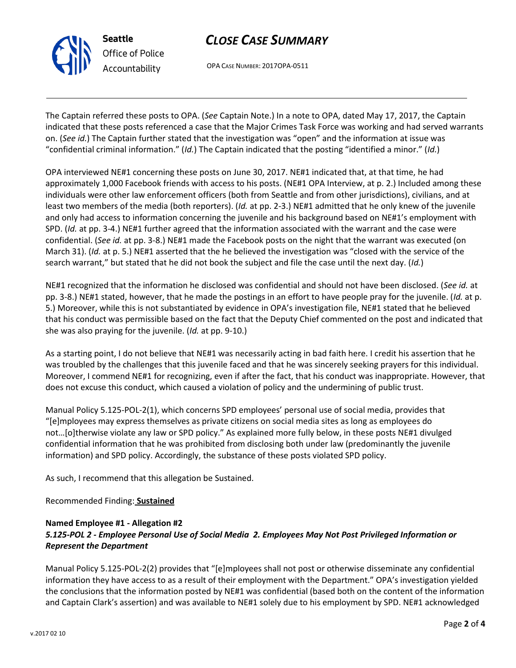

# *CLOSE CASE SUMMARY*

OPA CASE NUMBER: 2017OPA-0511

The Captain referred these posts to OPA. (*See* Captain Note.) In a note to OPA, dated May 17, 2017, the Captain indicated that these posts referenced a case that the Major Crimes Task Force was working and had served warrants on. (*See id.*) The Captain further stated that the investigation was "open" and the information at issue was "confidential criminal information." (*Id.*) The Captain indicated that the posting "identified a minor." (*Id.*)

OPA interviewed NE#1 concerning these posts on June 30, 2017. NE#1 indicated that, at that time, he had approximately 1,000 Facebook friends with access to his posts. (NE#1 OPA Interview, at p. 2.) Included among these individuals were other law enforcement officers (both from Seattle and from other jurisdictions), civilians, and at least two members of the media (both reporters). (*Id.* at pp. 2-3.) NE#1 admitted that he only knew of the juvenile and only had access to information concerning the juvenile and his background based on NE#1's employment with SPD. (*Id.* at pp. 3-4.) NE#1 further agreed that the information associated with the warrant and the case were confidential. (*See id.* at pp. 3-8.) NE#1 made the Facebook posts on the night that the warrant was executed (on March 31). (*Id.* at p. 5.) NE#1 asserted that the he believed the investigation was "closed with the service of the search warrant," but stated that he did not book the subject and file the case until the next day. (*Id.*)

NE#1 recognized that the information he disclosed was confidential and should not have been disclosed. (*See id.* at pp. 3-8.) NE#1 stated, however, that he made the postings in an effort to have people pray for the juvenile. (*Id.* at p. 5.) Moreover, while this is not substantiated by evidence in OPA's investigation file, NE#1 stated that he believed that his conduct was permissible based on the fact that the Deputy Chief commented on the post and indicated that she was also praying for the juvenile. (*Id.* at pp. 9-10.)

As a starting point, I do not believe that NE#1 was necessarily acting in bad faith here. I credit his assertion that he was troubled by the challenges that this juvenile faced and that he was sincerely seeking prayers for this individual. Moreover, I commend NE#1 for recognizing, even if after the fact, that his conduct was inappropriate. However, that does not excuse this conduct, which caused a violation of policy and the undermining of public trust.

Manual Policy 5.125-POL-2(1), which concerns SPD employees' personal use of social media, provides that "[e]mployees may express themselves as private citizens on social media sites as long as employees do not…[o]therwise violate any law or SPD policy." As explained more fully below, in these posts NE#1 divulged confidential information that he was prohibited from disclosing both under law (predominantly the juvenile information) and SPD policy. Accordingly, the substance of these posts violated SPD policy.

As such, I recommend that this allegation be Sustained.

Recommended Finding: **Sustained**

## **Named Employee #1 - Allegation #2** *5.125-POL 2 - Employee Personal Use of Social Media 2. Employees May Not Post Privileged Information or Represent the Department*

Manual Policy 5.125-POL-2(2) provides that "[e]mployees shall not post or otherwise disseminate any confidential information they have access to as a result of their employment with the Department." OPA's investigation yielded the conclusions that the information posted by NE#1 was confidential (based both on the content of the information and Captain Clark's assertion) and was available to NE#1 solely due to his employment by SPD. NE#1 acknowledged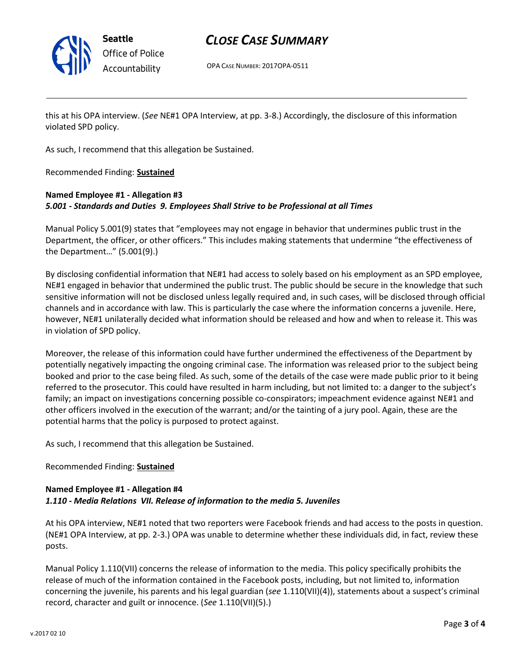

## *CLOSE CASE SUMMARY*

OPA CASE NUMBER: 2017OPA-0511

this at his OPA interview. (*See* NE#1 OPA Interview, at pp. 3-8.) Accordingly, the disclosure of this information violated SPD policy.

As such, I recommend that this allegation be Sustained.

Recommended Finding: **Sustained**

## **Named Employee #1 - Allegation #3** *5.001 - Standards and Duties 9. Employees Shall Strive to be Professional at all Times*

Manual Policy 5.001(9) states that "employees may not engage in behavior that undermines public trust in the Department, the officer, or other officers." This includes making statements that undermine "the effectiveness of the Department…" (5.001(9).)

By disclosing confidential information that NE#1 had access to solely based on his employment as an SPD employee, NE#1 engaged in behavior that undermined the public trust. The public should be secure in the knowledge that such sensitive information will not be disclosed unless legally required and, in such cases, will be disclosed through official channels and in accordance with law. This is particularly the case where the information concerns a juvenile. Here, however, NE#1 unilaterally decided what information should be released and how and when to release it. This was in violation of SPD policy.

Moreover, the release of this information could have further undermined the effectiveness of the Department by potentially negatively impacting the ongoing criminal case. The information was released prior to the subject being booked and prior to the case being filed. As such, some of the details of the case were made public prior to it being referred to the prosecutor. This could have resulted in harm including, but not limited to: a danger to the subject's family; an impact on investigations concerning possible co-conspirators; impeachment evidence against NE#1 and other officers involved in the execution of the warrant; and/or the tainting of a jury pool. Again, these are the potential harms that the policy is purposed to protect against.

As such, I recommend that this allegation be Sustained.

### Recommended Finding: **Sustained**

### **Named Employee #1 - Allegation #4** *1.110 - Media Relations VII. Release of information to the media 5. Juveniles*

At his OPA interview, NE#1 noted that two reporters were Facebook friends and had access to the posts in question. (NE#1 OPA Interview, at pp. 2-3.) OPA was unable to determine whether these individuals did, in fact, review these posts.

Manual Policy 1.110(VII) concerns the release of information to the media. This policy specifically prohibits the release of much of the information contained in the Facebook posts, including, but not limited to, information concerning the juvenile, his parents and his legal guardian (*see* 1.110(VII)(4)), statements about a suspect's criminal record, character and guilt or innocence. (*See* 1.110(VII)(5).)